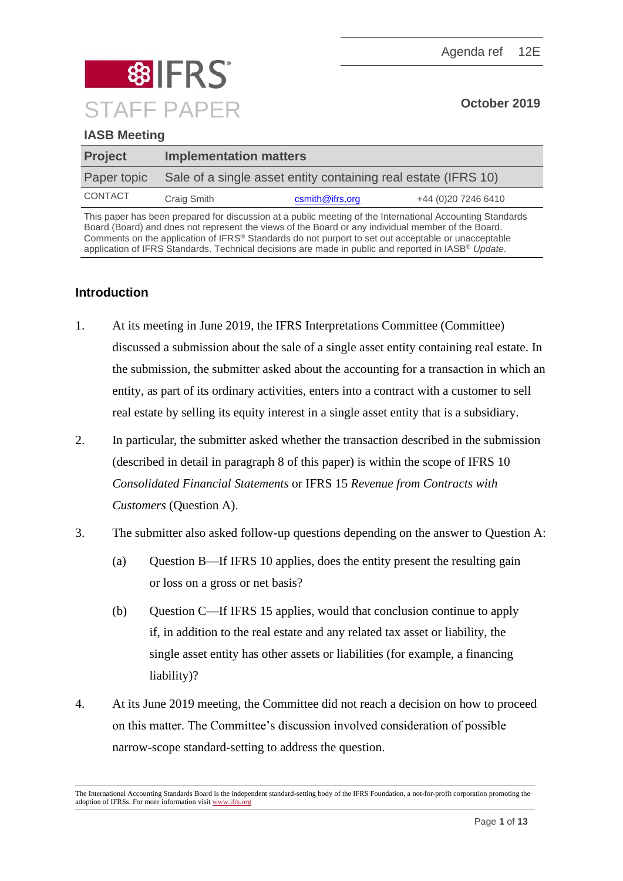**BIFRS** STAFF PAPER **October 2019**

# **IASB Meeting**

| <b>Project</b> | <b>Implementation matters</b>                                  |                 |                     |  |
|----------------|----------------------------------------------------------------|-----------------|---------------------|--|
| Paper topic    | Sale of a single asset entity containing real estate (IFRS 10) |                 |                     |  |
| CONTACT        | Craig Smith                                                    | csmith@ifrs.org | +44 (0)20 7246 6410 |  |

This paper has been prepared for discussion at a public meeting of the International Accounting Standards Board (Board) and does not represent the views of the Board or any individual member of the Board. Comments on the application of IFRS® Standards do not purport to set out acceptable or unacceptable application of IFRS Standards. Technical decisions are made in public and reported in IASB® *Update*.

# **Introduction**

- 1. At its meeting in June 2019, the IFRS Interpretations Committee (Committee) discussed a submission about the sale of a single asset entity containing real estate. In the submission, the submitter asked about the accounting for a transaction in which an entity, as part of its ordinary activities, enters into a contract with a customer to sell real estate by selling its equity interest in a single asset entity that is a subsidiary.
- 2. In particular, the submitter asked whether the transaction described in the submission (described in detail in paragraph [8](#page-1-0) of this paper) is within the scope of IFRS 10 *Consolidated Financial Statements* or IFRS 15 *Revenue from Contracts with Customers* (Question A).
- 3. The submitter also asked follow-up questions depending on the answer to Question A:
	- (a) Question B—If IFRS 10 applies, does the entity present the resulting gain or loss on a gross or net basis?
	- (b) Question C—If IFRS 15 applies, would that conclusion continue to apply if, in addition to the real estate and any related tax asset or liability, the single asset entity has other assets or liabilities (for example, a financing liability)?
- 4. At its June 2019 meeting, the Committee did not reach a decision on how to proceed on this matter. The Committee's discussion involved consideration of possible narrow-scope standard-setting to address the question.

The International Accounting Standards Board is the independent standard-setting body of the IFRS Foundation, a not-for-profit corporation promoting the adoption of IFRSs. For more information visi[t www.ifrs.org](http://www.ifrs.org/)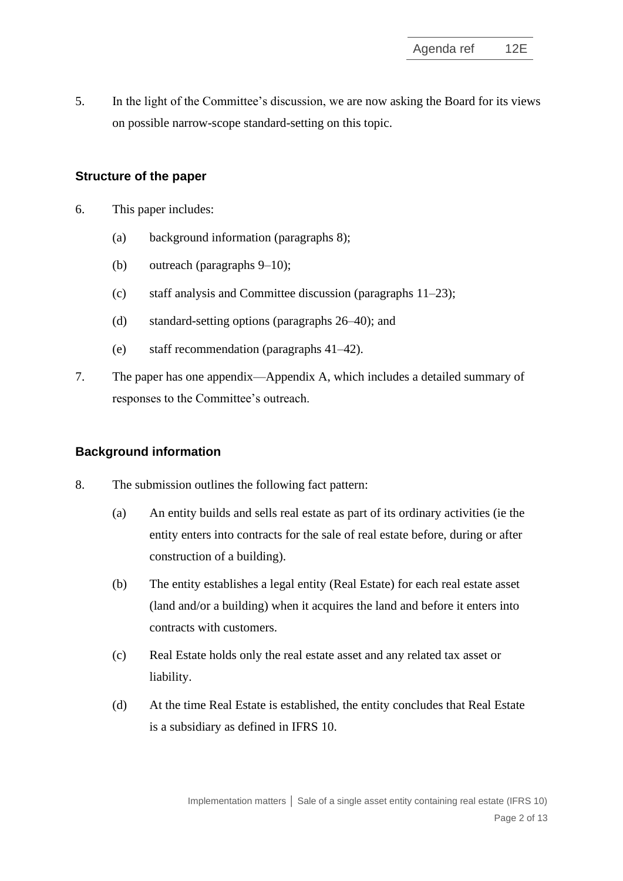5. In the light of the Committee's discussion, we are now asking the Board for its views on possible narrow-scope standard-setting on this topic.

#### **Structure of the paper**

- 6. This paper includes:
	- (a) background information (paragraphs [8\)](#page-1-0);
	- (b) outreach (paragraphs [9–](#page-2-0)[10\)](#page-2-1);
	- (c) staff analysis and Committee discussion (paragraphs [11](#page-2-2)[–23\)](#page-5-0);
	- (d) standard-setting options (paragraphs [26](#page-6-0)[–40\)](#page-10-0); and
	- (e) staff recommendation (paragraphs [41–](#page-10-1)[42\)](#page-10-2).
- 7. The paper has one appendix—Appendix A, which includes a detailed summary of responses to the Committee's outreach.

## **Background information**

- <span id="page-1-0"></span>8. The submission outlines the following fact pattern:
	- (a) An entity builds and sells real estate as part of its ordinary activities (ie the entity enters into contracts for the sale of real estate before, during or after construction of a building).
	- (b) The entity establishes a legal entity (Real Estate) for each real estate asset (land and/or a building) when it acquires the land and before it enters into contracts with customers.
	- (c) Real Estate holds only the real estate asset and any related tax asset or liability.
	- (d) At the time Real Estate is established, the entity concludes that Real Estate is a subsidiary as defined in IFRS 10.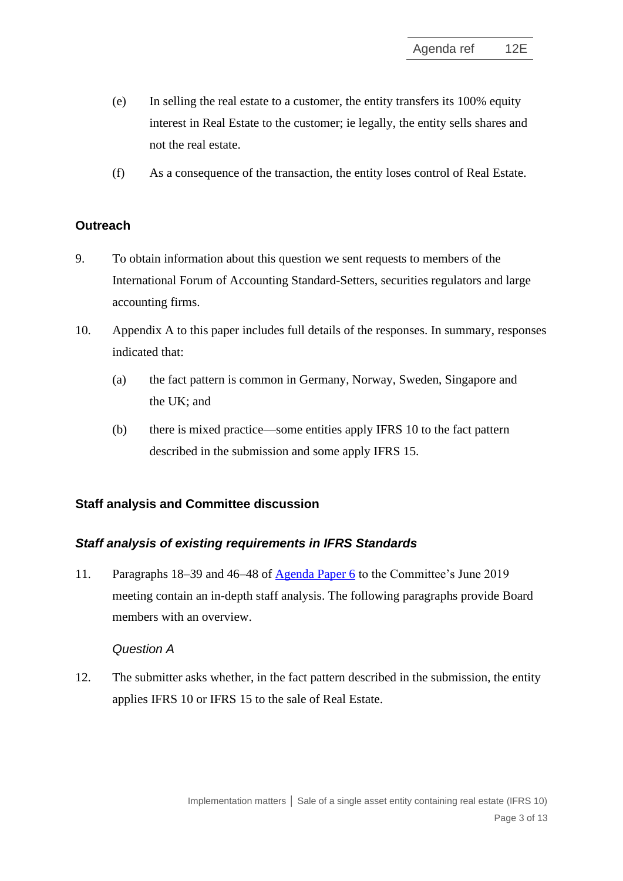- (e) In selling the real estate to a customer, the entity transfers its 100% equity interest in Real Estate to the customer; ie legally, the entity sells shares and not the real estate.
- (f) As a consequence of the transaction, the entity loses control of Real Estate.

#### **Outreach**

- <span id="page-2-0"></span>9. To obtain information about this question we sent requests to members of the International Forum of Accounting Standard-Setters, securities regulators and large accounting firms.
- <span id="page-2-1"></span>10. Appendix A to this paper includes full details of the responses. In summary, responses indicated that:
	- (a) the fact pattern is common in Germany, Norway, Sweden, Singapore and the UK; and
	- (b) there is mixed practice—some entities apply IFRS 10 to the fact pattern described in the submission and some apply IFRS 15.

## **Staff analysis and Committee discussion**

#### *Staff analysis of existing requirements in IFRS Standards*

<span id="page-2-2"></span>11. Paragraphs 18–39 and 46–48 of [Agenda Paper 6](https://www.ifrs.org/-/media/feature/meetings/2019/june/ifric/ap6-ifrs-10-sale-of-a-single-asset-entity-containing-real-estate.pdf) to the Committee's June 2019 meeting contain an in-depth staff analysis. The following paragraphs provide Board members with an overview.

#### *Question A*

12. The submitter asks whether, in the fact pattern described in the submission, the entity applies IFRS 10 or IFRS 15 to the sale of Real Estate.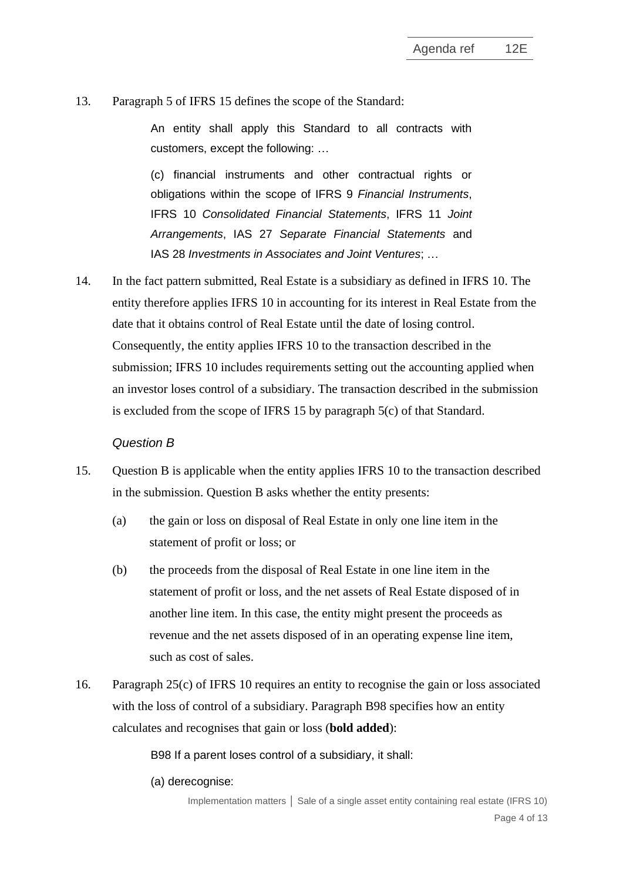13. Paragraph 5 of IFRS 15 defines the scope of the Standard:

An entity shall apply this Standard to all contracts with customers, except the following: …

(c) financial instruments and other contractual rights or obligations within the scope of IFRS 9 *Financial Instruments*, IFRS 10 *Consolidated Financial Statements*, IFRS 11 *Joint Arrangements*, IAS 27 *Separate Financial Statements* and IAS 28 *Investments in Associates and Joint Ventures*; …

14. In the fact pattern submitted, Real Estate is a subsidiary as defined in IFRS 10. The entity therefore applies IFRS 10 in accounting for its interest in Real Estate from the date that it obtains control of Real Estate until the date of losing control. Consequently, the entity applies IFRS 10 to the transaction described in the submission; IFRS 10 includes requirements setting out the accounting applied when an investor loses control of a subsidiary. The transaction described in the submission is excluded from the scope of IFRS 15 by paragraph 5(c) of that Standard.

#### *Question B*

- 15. Question B is applicable when the entity applies IFRS 10 to the transaction described in the submission. Question B asks whether the entity presents:
	- (a) the gain or loss on disposal of Real Estate in only one line item in the statement of profit or loss; or
	- (b) the proceeds from the disposal of Real Estate in one line item in the statement of profit or loss, and the net assets of Real Estate disposed of in another line item. In this case, the entity might present the proceeds as revenue and the net assets disposed of in an operating expense line item, such as cost of sales.
- 16. Paragraph 25(c) of IFRS 10 requires an entity to recognise the gain or loss associated with the loss of control of a subsidiary. Paragraph B98 specifies how an entity calculates and recognises that gain or loss (**bold added**):

B98 If a parent loses control of a subsidiary, it shall:

(a) derecognise: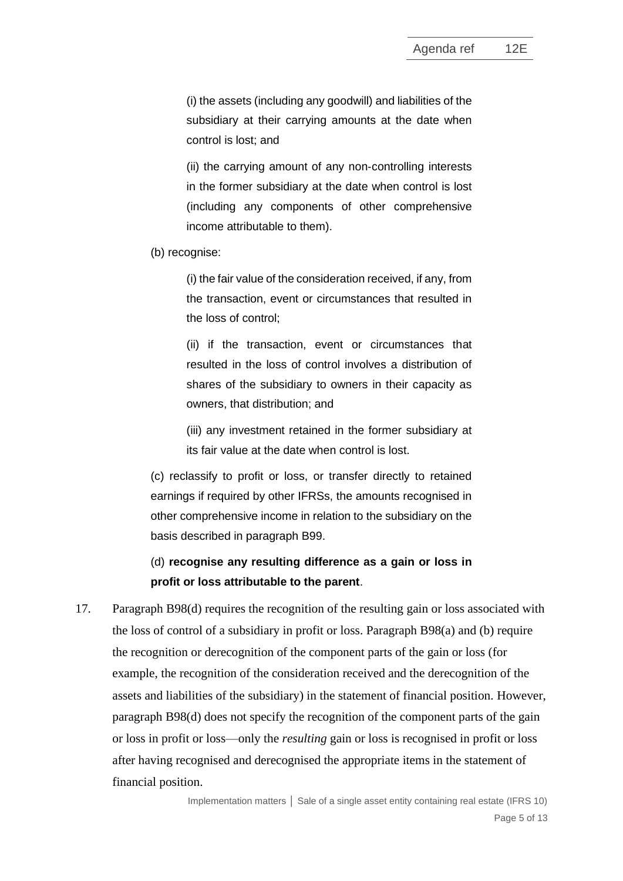(i) the assets (including any goodwill) and liabilities of the subsidiary at their carrying amounts at the date when control is lost; and

(ii) the carrying amount of any non‑controlling interests in the former subsidiary at the date when control is lost (including any components of other comprehensive income attributable to them).

(b) recognise:

(i) the fair value of the consideration received, if any, from the transaction, event or circumstances that resulted in the loss of control;

(ii) if the transaction, event or circumstances that resulted in the loss of control involves a distribution of shares of the subsidiary to owners in their capacity as owners, that distribution; and

(iii) any investment retained in the former subsidiary at its fair value at the date when control is lost.

(c) reclassify to profit or loss, or transfer directly to retained earnings if required by other IFRSs, the amounts recognised in other comprehensive income in relation to the subsidiary on the basis described in paragraph B99.

(d) **recognise any resulting difference as a gain or loss in profit or loss attributable to the parent**.

17. Paragraph B98(d) requires the recognition of the resulting gain or loss associated with the loss of control of a subsidiary in profit or loss. Paragraph B98(a) and (b) require the recognition or derecognition of the component parts of the gain or loss (for example, the recognition of the consideration received and the derecognition of the assets and liabilities of the subsidiary) in the statement of financial position. However, paragraph B98(d) does not specify the recognition of the component parts of the gain or loss in profit or loss—only the *resulting* gain or loss is recognised in profit or loss after having recognised and derecognised the appropriate items in the statement of financial position.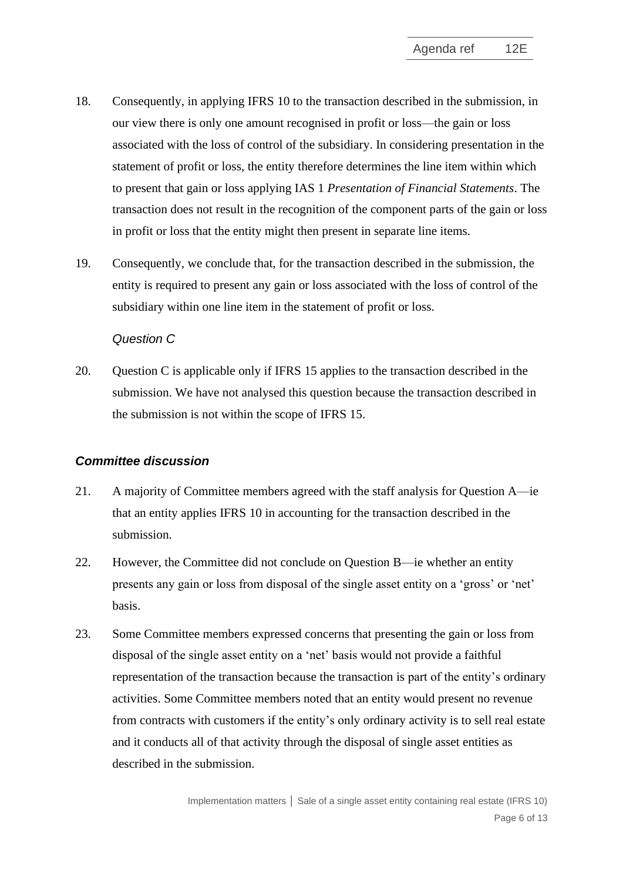- 18. Consequently, in applying IFRS 10 to the transaction described in the submission, in our view there is only one amount recognised in profit or loss—the gain or loss associated with the loss of control of the subsidiary. In considering presentation in the statement of profit or loss, the entity therefore determines the line item within which to present that gain or loss applying IAS 1 *Presentation of Financial Statements*. The transaction does not result in the recognition of the component parts of the gain or loss in profit or loss that the entity might then present in separate line items.
- 19. Consequently, we conclude that, for the transaction described in the submission, the entity is required to present any gain or loss associated with the loss of control of the subsidiary within one line item in the statement of profit or loss.

## *Question C*

20. Question C is applicable only if IFRS 15 applies to the transaction described in the submission. We have not analysed this question because the transaction described in the submission is not within the scope of IFRS 15.

#### *Committee discussion*

- 21. A majority of Committee members agreed with the staff analysis for Question A—ie that an entity applies IFRS 10 in accounting for the transaction described in the submission.
- 22. However, the Committee did not conclude on Question B—ie whether an entity presents any gain or loss from disposal of the single asset entity on a 'gross' or 'net' basis.
- <span id="page-5-0"></span>23. Some Committee members expressed concerns that presenting the gain or loss from disposal of the single asset entity on a 'net' basis would not provide a faithful representation of the transaction because the transaction is part of the entity's ordinary activities. Some Committee members noted that an entity would present no revenue from contracts with customers if the entity's only ordinary activity is to sell real estate and it conducts all of that activity through the disposal of single asset entities as described in the submission.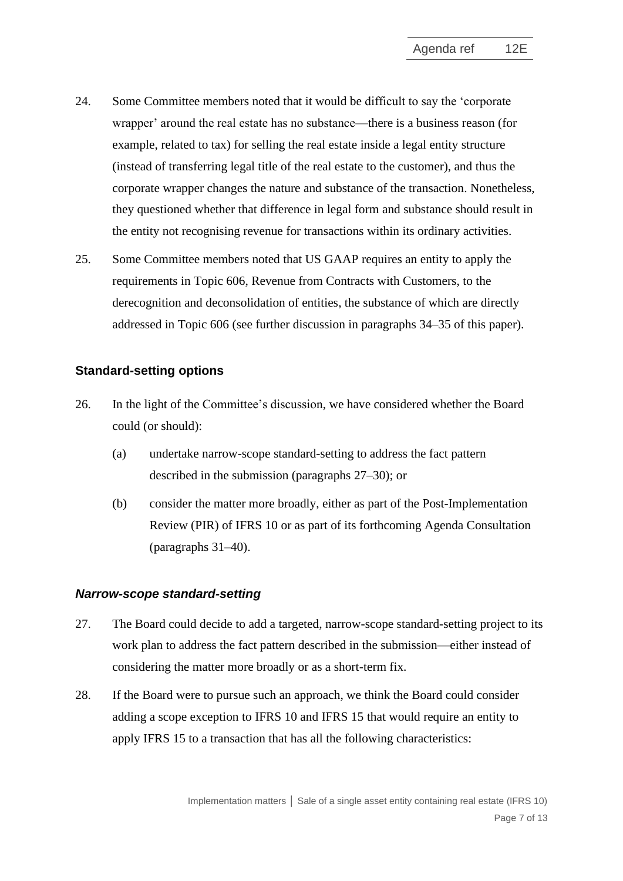- 24. Some Committee members noted that it would be difficult to say the 'corporate wrapper' around the real estate has no substance—there is a business reason (for example, related to tax) for selling the real estate inside a legal entity structure (instead of transferring legal title of the real estate to the customer), and thus the corporate wrapper changes the nature and substance of the transaction. Nonetheless, they questioned whether that difference in legal form and substance should result in the entity not recognising revenue for transactions within its ordinary activities.
- 25. Some Committee members noted that US GAAP requires an entity to apply the requirements in Topic 606, Revenue from Contracts with Customers, to the derecognition and deconsolidation of entities, the substance of which are directly addressed in Topic 606 (see further discussion in paragraphs [34–](#page-8-0)[35](#page-8-1) of this paper).

## **Standard-setting options**

- <span id="page-6-0"></span>26. In the light of the Committee's discussion, we have considered whether the Board could (or should):
	- (a) undertake narrow-scope standard-setting to address the fact pattern described in the submission (paragraphs [27–](#page-6-1)[30\)](#page-7-0); or
	- (b) consider the matter more broadly, either as part of the Post-Implementation Review (PIR) of IFRS 10 or as part of its forthcoming Agenda Consultation (paragraphs [31–](#page-8-2)[40\)](#page-10-0).

## *Narrow-scope standard-setting*

- <span id="page-6-1"></span>27. The Board could decide to add a targeted, narrow-scope standard-setting project to its work plan to address the fact pattern described in the submission—either instead of considering the matter more broadly or as a short-term fix.
- <span id="page-6-2"></span>28. If the Board were to pursue such an approach, we think the Board could consider adding a scope exception to IFRS 10 and IFRS 15 that would require an entity to apply IFRS 15 to a transaction that has all the following characteristics: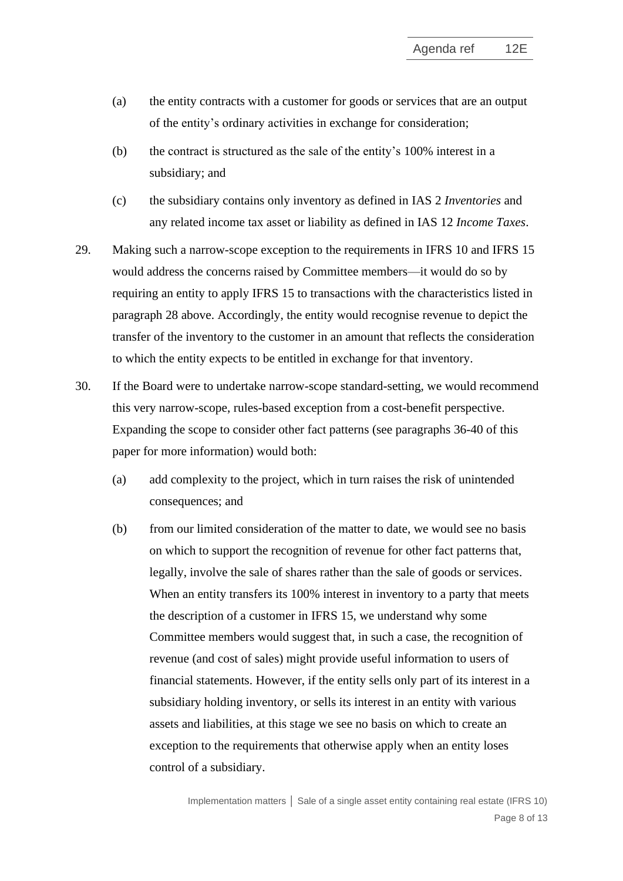- (a) the entity contracts with a customer for goods or services that are an output of the entity's ordinary activities in exchange for consideration;
- (b) the contract is structured as the sale of the entity's 100% interest in a subsidiary; and
- (c) the subsidiary contains only inventory as defined in IAS 2 *Inventories* and any related income tax asset or liability as defined in IAS 12 *Income Taxes*.
- 29. Making such a narrow-scope exception to the requirements in IFRS 10 and IFRS 15 would address the concerns raised by Committee members—it would do so by requiring an entity to apply IFRS 15 to transactions with the characteristics listed in paragraph [28](#page-6-2) above. Accordingly, the entity would recognise revenue to depict the transfer of the inventory to the customer in an amount that reflects the consideration to which the entity expects to be entitled in exchange for that inventory.
- <span id="page-7-0"></span>30. If the Board were to undertake narrow-scope standard-setting, we would recommend this very narrow-scope, rules-based exception from a cost-benefit perspective. Expanding the scope to consider other fact patterns (see paragraphs [36-](#page-9-0)[40](#page-10-0) of this paper for more information) would both:
	- (a) add complexity to the project, which in turn raises the risk of unintended consequences; and
	- (b) from our limited consideration of the matter to date, we would see no basis on which to support the recognition of revenue for other fact patterns that, legally, involve the sale of shares rather than the sale of goods or services. When an entity transfers its 100% interest in inventory to a party that meets the description of a customer in IFRS 15, we understand why some Committee members would suggest that, in such a case, the recognition of revenue (and cost of sales) might provide useful information to users of financial statements. However, if the entity sells only part of its interest in a subsidiary holding inventory, or sells its interest in an entity with various assets and liabilities, at this stage we see no basis on which to create an exception to the requirements that otherwise apply when an entity loses control of a subsidiary.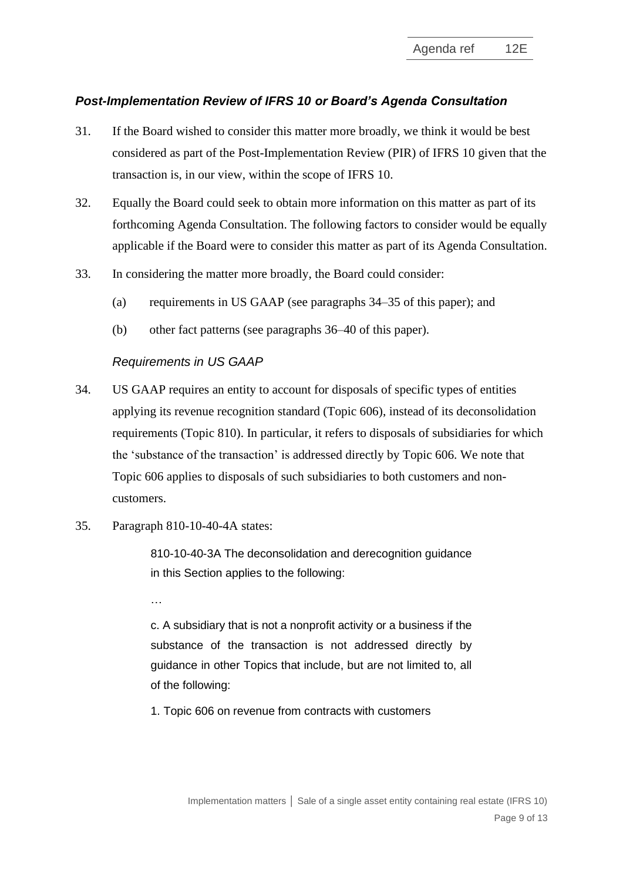# *Post-Implementation Review of IFRS 10 or Board's Agenda Consultation*

- <span id="page-8-2"></span>31. If the Board wished to consider this matter more broadly, we think it would be best considered as part of the Post-Implementation Review (PIR) of IFRS 10 given that the transaction is, in our view, within the scope of IFRS 10.
- 32. Equally the Board could seek to obtain more information on this matter as part of its forthcoming Agenda Consultation. The following factors to consider would be equally applicable if the Board were to consider this matter as part of its Agenda Consultation.
- 33. In considering the matter more broadly, the Board could consider:
	- (a) requirements in US GAAP (see paragraphs [34–](#page-8-0)[35](#page-8-1) of this paper); and
	- (b) other fact patterns (see paragraphs [36–](#page-9-0)[40](#page-10-0) of this paper).

#### *Requirements in US GAAP*

- <span id="page-8-0"></span>34. US GAAP requires an entity to account for disposals of specific types of entities applying its revenue recognition standard (Topic 606), instead of its deconsolidation requirements (Topic 810). In particular, it refers to disposals of subsidiaries for which the 'substance of the transaction' is addressed directly by Topic 606. We note that Topic 606 applies to disposals of such subsidiaries to both customers and noncustomers.
- <span id="page-8-1"></span>35. Paragraph 810-10-40-4A states:

810-10-40-3A The deconsolidation and derecognition guidance in this Section applies to the following:

…

c. A subsidiary that is not a nonprofit activity or a business if the substance of the transaction is not addressed directly by guidance in other Topics that include, but are not limited to, all of the following:

1. Topic 606 on revenue from contracts with customers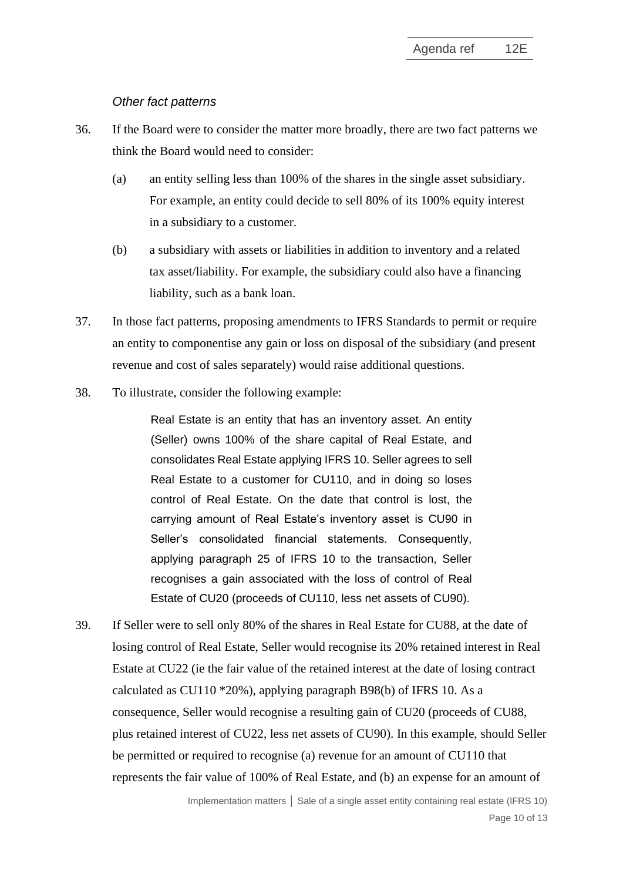#### *Other fact patterns*

- <span id="page-9-0"></span>36. If the Board were to consider the matter more broadly, there are two fact patterns we think the Board would need to consider:
	- (a) an entity selling less than 100% of the shares in the single asset subsidiary. For example, an entity could decide to sell 80% of its 100% equity interest in a subsidiary to a customer.
	- (b) a subsidiary with assets or liabilities in addition to inventory and a related tax asset/liability. For example, the subsidiary could also have a financing liability, such as a bank loan.
- 37. In those fact patterns, proposing amendments to IFRS Standards to permit or require an entity to componentise any gain or loss on disposal of the subsidiary (and present revenue and cost of sales separately) would raise additional questions.
- <span id="page-9-1"></span>38. To illustrate, consider the following example:

Real Estate is an entity that has an inventory asset. An entity (Seller) owns 100% of the share capital of Real Estate, and consolidates Real Estate applying IFRS 10. Seller agrees to sell Real Estate to a customer for CU110, and in doing so loses control of Real Estate. On the date that control is lost, the carrying amount of Real Estate's inventory asset is CU90 in Seller's consolidated financial statements. Consequently, applying paragraph 25 of IFRS 10 to the transaction, Seller recognises a gain associated with the loss of control of Real Estate of CU20 (proceeds of CU110, less net assets of CU90).

39. If Seller were to sell only 80% of the shares in Real Estate for CU88, at the date of losing control of Real Estate, Seller would recognise its 20% retained interest in Real Estate at CU22 (ie the fair value of the retained interest at the date of losing contract calculated as CU110 \*20%), applying paragraph B98(b) of IFRS 10. As a consequence, Seller would recognise a resulting gain of CU20 (proceeds of CU88, plus retained interest of CU22, less net assets of CU90). In this example, should Seller be permitted or required to recognise (a) revenue for an amount of CU110 that represents the fair value of 100% of Real Estate, and (b) an expense for an amount of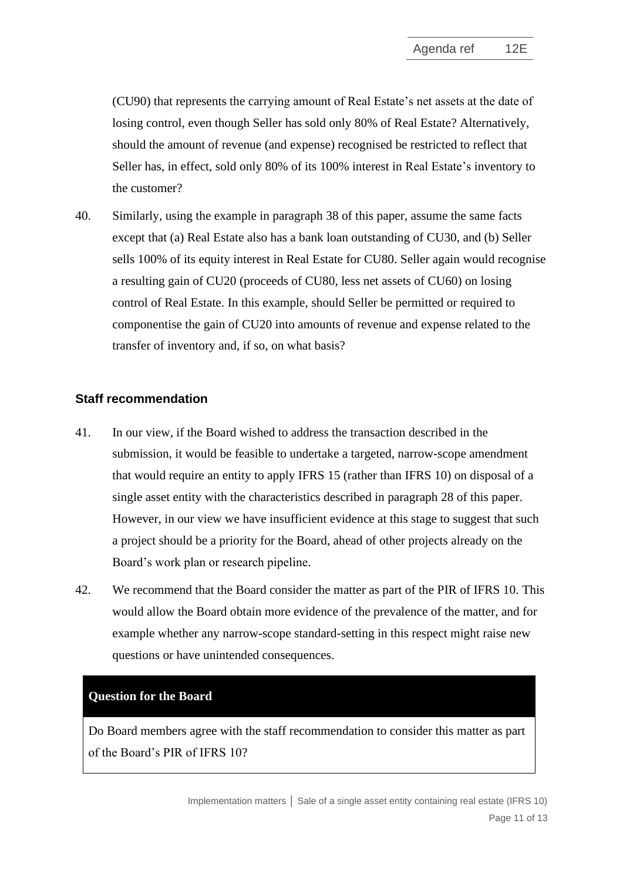(CU90) that represents the carrying amount of Real Estate's net assets at the date of losing control, even though Seller has sold only 80% of Real Estate? Alternatively, should the amount of revenue (and expense) recognised be restricted to reflect that Seller has, in effect, sold only 80% of its 100% interest in Real Estate's inventory to the customer?

<span id="page-10-0"></span>40. Similarly, using the example in paragraph [38](#page-9-1) of this paper, assume the same facts except that (a) Real Estate also has a bank loan outstanding of CU30, and (b) Seller sells 100% of its equity interest in Real Estate for CU80. Seller again would recognise a resulting gain of CU20 (proceeds of CU80, less net assets of CU60) on losing control of Real Estate. In this example, should Seller be permitted or required to componentise the gain of CU20 into amounts of revenue and expense related to the transfer of inventory and, if so, on what basis?

#### **Staff recommendation**

- <span id="page-10-1"></span>41. In our view, if the Board wished to address the transaction described in the submission, it would be feasible to undertake a targeted, narrow-scope amendment that would require an entity to apply IFRS 15 (rather than IFRS 10) on disposal of a single asset entity with the characteristics described in paragraph [28](#page-6-2) of this paper. However, in our view we have insufficient evidence at this stage to suggest that such a project should be a priority for the Board, ahead of other projects already on the Board's work plan or research pipeline.
- <span id="page-10-2"></span>42. We recommend that the Board consider the matter as part of the PIR of IFRS 10. This would allow the Board obtain more evidence of the prevalence of the matter, and for example whether any narrow-scope standard-setting in this respect might raise new questions or have unintended consequences.

#### **Question for the Board**

Do Board members agree with the staff recommendation to consider this matter as part of the Board's PIR of IFRS 10?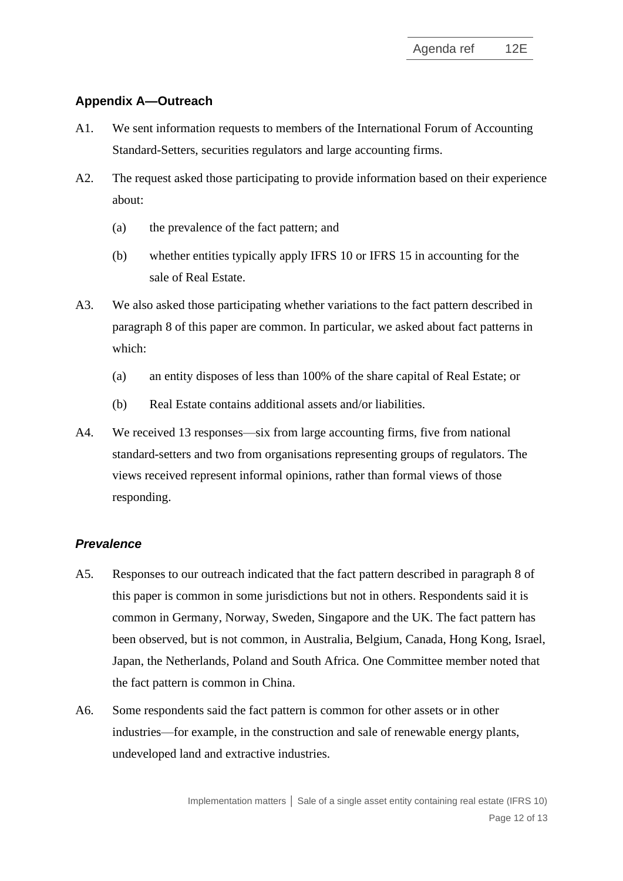# **Appendix A—Outreach**

- A1. We sent information requests to members of the International Forum of Accounting Standard-Setters, securities regulators and large accounting firms.
- A2. The request asked those participating to provide information based on their experience about:
	- (a) the prevalence of the fact pattern; and
	- (b) whether entities typically apply IFRS 10 or IFRS 15 in accounting for the sale of Real Estate.
- A3. We also asked those participating whether variations to the fact pattern described in paragraph [8](#page-1-0) of this paper are common. In particular, we asked about fact patterns in which:
	- (a) an entity disposes of less than 100% of the share capital of Real Estate; or
	- (b) Real Estate contains additional assets and/or liabilities.
- A4. We received 13 responses—six from large accounting firms, five from national standard-setters and two from organisations representing groups of regulators. The views received represent informal opinions, rather than formal views of those responding.

## *Prevalence*

- A5. Responses to our outreach indicated that the fact pattern described in paragraph [8](#page-1-0) of this paper is common in some jurisdictions but not in others. Respondents said it is common in Germany, Norway, Sweden, Singapore and the UK. The fact pattern has been observed, but is not common, in Australia, Belgium, Canada, Hong Kong, Israel, Japan, the Netherlands, Poland and South Africa. One Committee member noted that the fact pattern is common in China.
- A6. Some respondents said the fact pattern is common for other assets or in other industries—for example, in the construction and sale of renewable energy plants, undeveloped land and extractive industries.